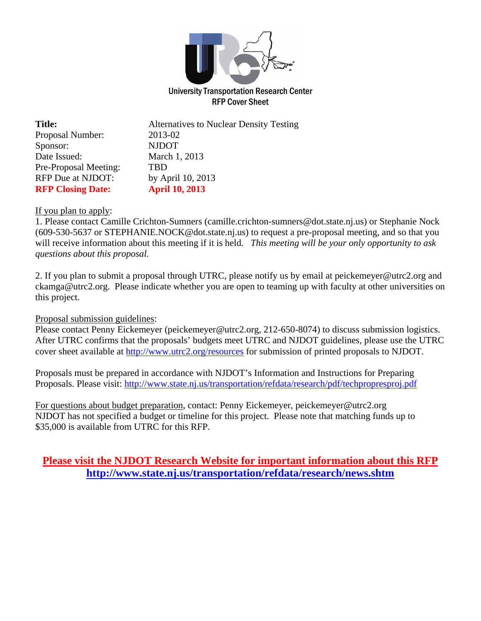

RFP Cover Sheet

| <b>Title:</b>            | <b>Alternatives to Nuclear Density Testing</b> |
|--------------------------|------------------------------------------------|
| Proposal Number:         | 2013-02                                        |
| Sponsor:                 | <b>NJDOT</b>                                   |
| Date Issued:             | March 1, 2013                                  |
| Pre-Proposal Meeting:    | <b>TRD</b>                                     |
| RFP Due at NJDOT:        | by April 10, 2013                              |
| <b>RFP Closing Date:</b> | <b>April 10, 2013</b>                          |

### If you plan to apply:

1. Please contact Camille Crichton-Sumners (camille.crichton-sumners@dot.state.nj.us) or Stephanie Nock (609-530-5637 or STEPHANIE.NOCK@dot.state.nj.us) to request a pre-proposal meeting, and so that you will receive information about this meeting if it is held. *This meeting will be your only opportunity to ask questions about this proposal.*

2. If you plan to submit a proposal through UTRC, please notify us by email at peickemeyer@utrc2.org and ckamga@utrc2.org. Please indicate whether you are open to teaming up with faculty at other universities on this project.

#### Proposal submission guidelines:

Please contact Penny Eickemeyer (peickemeyer@utrc2.org, 212-650-8074) to discuss submission logistics. After UTRC confirms that the proposals' budgets meet UTRC and NJDOT guidelines, please use the UTRC cover sheet available at http://www.utrc2.org/resources for submission of printed proposals to NJDOT.

Proposals must be prepared in accordance with NJDOT's Information and Instructions for Preparing Proposals. Please visit: http://www.state.nj.us/transportation/refdata/research/pdf/techpropresproj.pdf

For questions about budget preparation, contact: Penny Eickemeyer, peickemeyer@utrc2.org NJDOT has not specified a budget or timeline for this project. Please note that matching funds up to \$35,000 is available from UTRC for this RFP.

# **Please visit the NJDOT Research Website for important information about this RFP http://www.state.nj.us/transportation/refdata/research/news.shtm**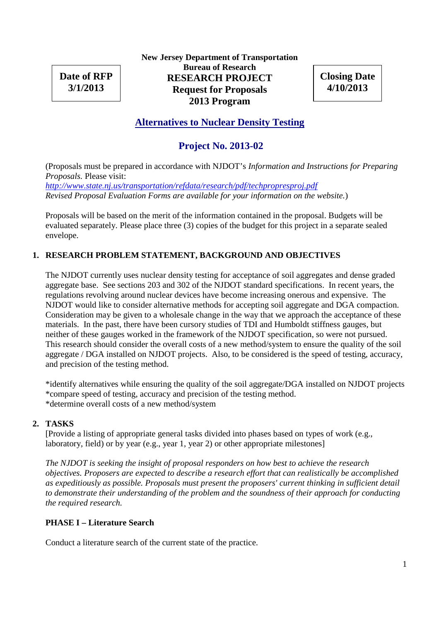**Date of RFP 3/1/2013**

**New Jersey Department of Transportation Bureau of Research RESEARCH PROJECT Request for Proposals 2013 Program**

**Closing Date 4/10/2013**

# **Alternatives to Nuclear Density Testing**

# **Project No. 2013-02**

(Proposals must be prepared in accordance with NJDOT's *Information and Instructions for Preparing Proposals.* Please visit:

*http://www.state.nj.us/transportation/refdata/research/pdf/techpropresproj.pdf Revised Proposal Evaluation Forms are available for your information on the website.*)

Proposals will be based on the merit of the information contained in the proposal. Budgets will be evaluated separately. Please place three (3) copies of the budget for this project in a separate sealed envelope.

### **1. RESEARCH PROBLEM STATEMENT, BACKGROUND AND OBJECTIVES**

The NJDOT currently uses nuclear density testing for acceptance of soil aggregates and dense graded aggregate base. See sections 203 and 302 of the NJDOT standard specifications. In recent years, the regulations revolving around nuclear devices have become increasing onerous and expensive. The NJDOT would like to consider alternative methods for accepting soil aggregate and DGA compaction. Consideration may be given to a wholesale change in the way that we approach the acceptance of these materials. In the past, there have been cursory studies of TDI and Humboldt stiffness gauges, but neither of these gauges worked in the framework of the NJDOT specification, so were not pursued. This research should consider the overall costs of a new method/system to ensure the quality of the soil aggregate / DGA installed on NJDOT projects. Also, to be considered is the speed of testing, accuracy, and precision of the testing method.

\*identify alternatives while ensuring the quality of the soil aggregate/DGA installed on NJDOT projects \*compare speed of testing, accuracy and precision of the testing method. \*determine overall costs of a new method/system

### **2. TASKS**

[Provide a listing of appropriate general tasks divided into phases based on types of work (e.g., laboratory, field) or by year (e.g., year 1, year 2) or other appropriate milestones]

*The NJDOT is seeking the insight of proposal responders on how best to achieve the research objectives. Proposers are expected to describe a research effort that can realistically be accomplished as expeditiously as possible. Proposals must present the proposers' current thinking in sufficient detail to demonstrate their understanding of the problem and the soundness of their approach for conducting the required research.*

### **PHASE I – Literature Search**

Conduct a literature search of the current state of the practice.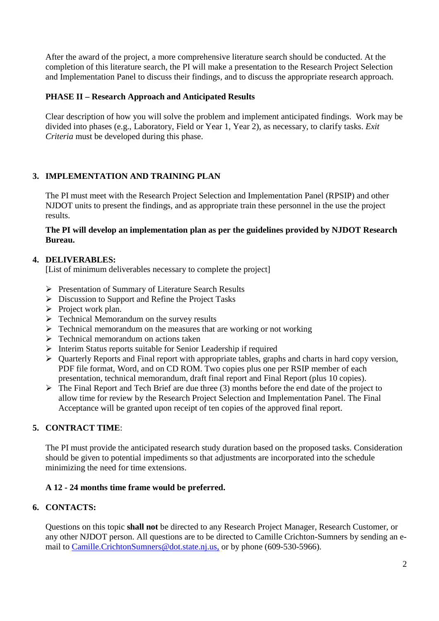After the award of the project, a more comprehensive literature search should be conducted. At the completion of this literature search, the PI will make a presentation to the Research Project Selection and Implementation Panel to discuss their findings, and to discuss the appropriate research approach.

### **PHASE II – Research Approach and Anticipated Results**

Clear description of how you will solve the problem and implement anticipated findings. Work may be divided into phases (e.g., Laboratory, Field or Year 1, Year 2), as necessary, to clarify tasks. *Exit Criteria* must be developed during this phase.

## **3. IMPLEMENTATION AND TRAINING PLAN**

The PI must meet with the Research Project Selection and Implementation Panel (RPSIP) and other NJDOT units to present the findings, and as appropriate train these personnel in the use the project results.

### **The PI will develop an implementation plan as per the guidelines provided by NJDOT Research Bureau.**

### **4. DELIVERABLES:**

[List of minimum deliverables necessary to complete the project]

- Presentation of Summary of Literature Search Results
- $\triangleright$  Discussion to Support and Refine the Project Tasks
- $\triangleright$  Project work plan.
- $\triangleright$  Technical Memorandum on the survey results
- $\triangleright$  Technical memorandum on the measures that are working or not working
- $\triangleright$  Technical memorandum on actions taken
- $\triangleright$  Interim Status reports suitable for Senior Leadership if required
- Quarterly Reports and Final report with appropriate tables, graphs and charts in hard copy version, PDF file format, Word, and on CD ROM. Two copies plus one per RSIP member of each presentation, technical memorandum, draft final report and Final Report (plus 10 copies).
- $\triangleright$  The Final Report and Tech Brief are due three (3) months before the end date of the project to allow time for review by the Research Project Selection and Implementation Panel. The Final Acceptance will be granted upon receipt of ten copies of the approved final report.

## **5. CONTRACT TIME**:

The PI must provide the anticipated research study duration based on the proposed tasks. Consideration should be given to potential impediments so that adjustments are incorporated into the schedule minimizing the need for time extensions.

### **A 12 - 24 months time frame would be preferred.**

### **6. CONTACTS:**

Questions on this topic **shall not** be directed to any Research Project Manager, Research Customer, or any other NJDOT person. All questions are to be directed to Camille Crichton-Sumners by sending an email to Camille.CrichtonSumners@dot.state.nj.us, or by phone (609-530-5966).